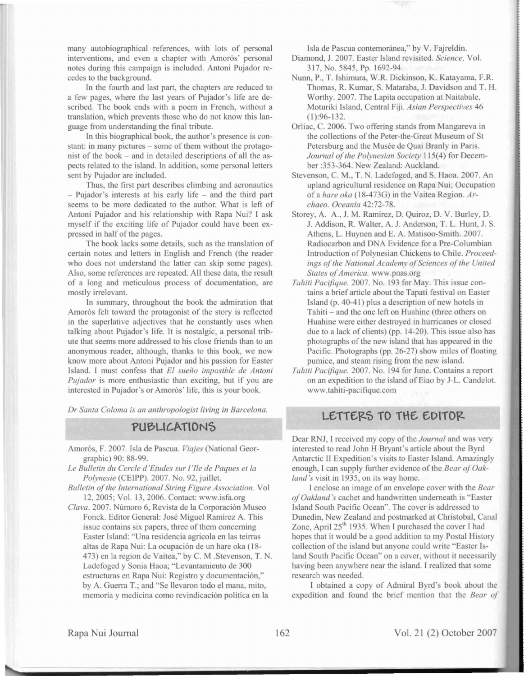many autobiographical reference, with lots of personal interventions, and even a chapter with Amorós' personal notes during this campaign is included. Antoni Pujador recedes to the background.

In the fourth and last part, the chapters are reduced to a few pages, where the last years of Pujador's life are described. The book ends with a poem in French, without a translation, which prevents those who do not know this language from understanding the final tribute.

In this biographical book, the author's presence is constant: in many pictures – some of them without the protagonist of the book – and in detailed descriptions of all the aspects related to the island. In addition, some personal letters sent by Pujador are included.

Thus, the first part describes climbing and aeronautics - Pujador's interests at his early life - and the third part seems to be more dedicated to the author. What is left of Antoni Pujador and his relationship with Rapa Nui? I ask myself if the exciting life of Pujador could have been expressed in half of the pages.

The book lacks some details, such as the translation of certain notes and letters in English and French (the reader who does not understand the latter can skip some pages). Also, some references are repeated. All these data, the result of a long and meticulous process of documentation, are mostly irrelevant.

In summary, throughout the book the admiration that Amorós felt toward the protagonist of the story is reflected in the superlative adjectives that he constantly uses when talking about Pujador's life. It is nostalgic, a personal tribute that seems more addressed to his close friends than to an anonymous reader, although, thanks to this book, we now know more about Antoni Pujador and his passion for Easter Island. I must confess that *El sueño imposible de Antoni Pujador* is more enthusiastic than exciting, but if you are interested in Pujador's or Amorós' life, this is your book.

*Dr Santa Coloma is an anthropologist living in Barcelona.*

### PUBLICATIONS

Amorós, F. 2007. Isla de Pascua. Viajes (National Georgraphic) 90: 88-99.

- *Le Bulletin du Cercle d 'Etudes sur l'IIe de Paques et la Polynesie* (CEIPP). 2007. No. 92, juillet.
- $B$ ulletin of the *International String Figure Association*. Vol 12,2005; Vol. 13,2006. Contact: www.isfa.org
- *Clava.* 2007. Númoro 6, Revista de la Corporación Museo Fonck. Editor General: Jose Miguel Ramirez A. This issue contains six papers, three of them concerning Easter Island: "Una residencia agricola en las teirra altas de Rapa Nui: La ocupación de un hare oka (18-473) en la region de Vaitea," by C. M. Stevenson, T. N. Ladefoged y Sonia Haoa; "Levantamjento de 300 estructuras en Rapa Nui: Registro y documentación," by A. Guerra T.; and "Se llevaron todo el mana, mito, memoria y medicina como revindicacion politica en la

Isla de Pascua contemoránea," by V. Fajreldin.

- Diamond, J. 2007. Easter Island revisited. *Science*, Vol. 317, No. 5845, Pp. 1692-94.
- Nunn, P., T. Ishimura, W.R. Dickinson, K. Katayama, F.R. Thomas, R. Kumar, S. Mataraba, J. Davidson and T. H. Worthy. 2007. The Lapita occupation at Naitabale, Moturiki Island, Central Fiji. *Asian Perspective 46* (1):96-132.
- Orliac, C. 2006. Two offering stands from Mangareva in the collections of the Peter-the-Great Museum of St Petersburg and the Musée de Quai Branly in Paris. *Journal of the Polynesian Society* 115(4) for December :353-364. New Zealand: Auckland.
- Stevenson, C. M., T. N. Ladefoged, and S. Haoa. 2007. An upland agricultural residence on Rapa Nui; Occupation of a *hare oka* (18-473G) in the Vaitea Region. *Archaeo. Oceania 42:72-78.*
- Storey, A. A., J. M. Ramirez, D. Quiroz, D. V. Burley, D. J. Addison, R. Walter, A. J. Anderson, T. L. Hunt, J. S. Athens, L. Huynen and E. A. Matisoo-Smith. 2007. Radiocarbon and DNA Evidence for a Pre-Columbian Introduction of Polynesian Chickens to Chile. Proceed*ings ofthe National Academy ofSciences ofthe United States of America.* www.pnas.org
- *Tahiti Pacifique.* 2007. No. 193 for May. This issue contains a brief article about the Tapati festival on Easter Island (p.  $40-41$ ) plus a description of new hotels in Tahiti - and the one left on Huahine (three others on Huahine were either destroyed in hurricanes or closed due to a lack of clients) (pp.  $14-20$ ). This issue also has photographs of the new island that has appeared in the Pacific. Photographs (pp. 26-27) show miles of floating pumice, and steam rising from the new island.
- *Tahiti Pacifique.* 2007. No. 194 for June. Contains a report on an expedition to the island of Eiao by J-L. Candelot. www.tahiti-pacifique.com

# **LETTERS TO THE EDITOR**

Dear RNJ, I received my copy of the *Journal* and was very interested to read John H Bryant's article about the Byrd Antarctic II Expedition's visits to Easter Island. Amazingly enough, I can supply further evidence of the *Bear of Oakland's* visit in 1935, on its way home.

I enclose an image of an envelope cover with the *Bear* of Oakland's cachet and handwritten underneath is "Easter Island South Pacific Ocean". The cover is addressed to Dunedin, New Zealand and postmarked at Christobal, Canal Zone, April  $25<sup>th</sup>$  1935. When I purchased the cover I had hopes that it would be a good addition to my Postal History collection of the island but anyone could write "Easter Island South Pacific Ocean" on a cover, without it necessarily having been anywhere near the island. I realized that some research was needed.

I obtained a copy of Admiral Byrd's book about the expedition and found the brief mention that the *Bear of*